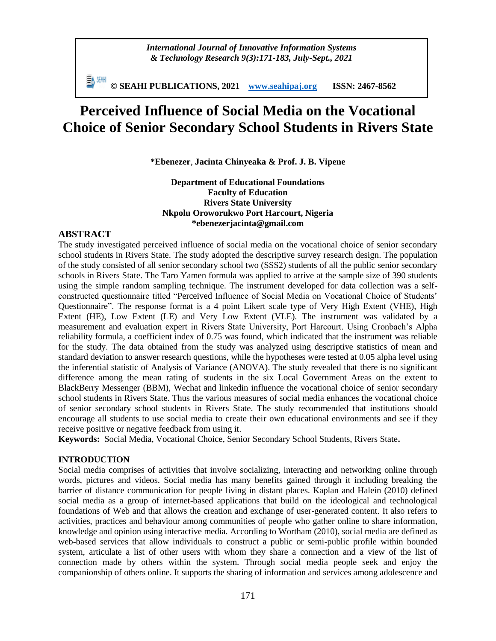*International Journal of Innovative Information Systems & Technology Research 9(3):171-183, July-Sept., 2021*

**© SEAHI PUBLICATIONS, 2021 [www.seahipaj.org](http://www.seahipaj.org/) ISSN: 2467-8562**

# **Perceived Influence of Social Media on the Vocational Choice of Senior Secondary School Students in Rivers State**

**\*Ebenezer**, **Jacinta Chinyeaka & Prof. J. B. Vipene**

**Department of Educational Foundations Faculty of Education Rivers State University Nkpolu Oroworukwo Port Harcourt, Nigeria \*ebenezerjacinta@gmail.com**

# **ABSTRACT**

The study investigated perceived influence of social media on the vocational choice of senior secondary school students in Rivers State. The study adopted the descriptive survey research design. The population of the study consisted of all senior secondary school two (SSS2) students of all the public senior secondary schools in Rivers State. The Taro Yamen formula was applied to arrive at the sample size of 390 students using the simple random sampling technique. The instrument developed for data collection was a selfconstructed questionnaire titled "Perceived Influence of Social Media on Vocational Choice of Students' Questionnaire". The response format is a 4 point Likert scale type of Very High Extent (VHE), High Extent (HE), Low Extent (LE) and Very Low Extent (VLE). The instrument was validated by a measurement and evaluation expert in Rivers State University, Port Harcourt. Using Cronbach's Alpha reliability formula, a coefficient index of 0.75 was found, which indicated that the instrument was reliable for the study. The data obtained from the study was analyzed using descriptive statistics of mean and standard deviation to answer research questions, while the hypotheses were tested at 0.05 alpha level using the inferential statistic of Analysis of Variance (ANOVA). The study revealed that there is no significant difference among the mean rating of students in the six Local Government Areas on the extent to BlackBerry Messenger (BBM), Wechat and linkedin influence the vocational choice of senior secondary school students in Rivers State. Thus the various measures of social media enhances the vocational choice of senior secondary school students in Rivers State. The study recommended that institutions should encourage all students to use social media to create their own educational environments and see if they receive positive or negative feedback from using it.

**Keywords:** Social Media, Vocational Choice, Senior Secondary School Students, Rivers State**.**

#### **INTRODUCTION**

Social media comprises of activities that involve socializing, interacting and networking online through words, pictures and videos. Social media has many benefits gained through it including breaking the barrier of distance communication for people living in distant places. Kaplan and Halein (2010) defined social media as a group of internet-based applications that build on the ideological and technological foundations of Web and that allows the creation and exchange of user-generated content. It also refers to activities, practices and behaviour among communities of people who gather online to share information, knowledge and opinion using interactive media. According to Wortham (2010), social media are defined as web-based services that allow individuals to construct a public or semi-public profile within bounded system, articulate a list of other users with whom they share a connection and a view of the list of connection made by others within the system. Through social media people seek and enjoy the companionship of others online. It supports the sharing of information and services among adolescence and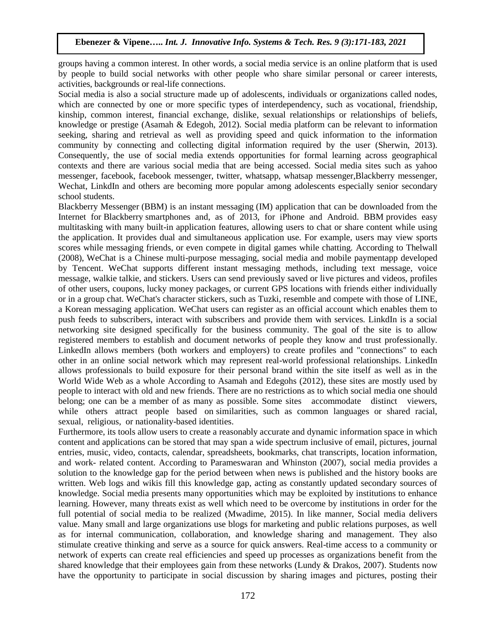groups having a common interest. In other words, a social media service is an online platform that is used by people to build social networks with other people who share similar personal or career interests, activities, backgrounds or real-life connections.

Social media is also a social structure made up of adolescents, individuals or organizations called nodes, which are connected by one or more specific types of interdependency, such as vocational, friendship, kinship, common interest, financial exchange, dislike, sexual relationships or relationships of beliefs, knowledge or prestige (Asamah & Edegoh, 2012). Social media platform can be relevant to information seeking, sharing and retrieval as well as providing speed and quick information to the information community by connecting and collecting digital information required by the user (Sherwin, 2013). Consequently, the use of social media extends opportunities for formal learning across geographical contexts and there are various social media that are being accessed. Social media sites such as yahoo messenger, facebook, facebook messenger, twitter, whatsapp, whatsap messenger,Blackberry messenger, Wechat, LinkdIn and others are becoming more popular among adolescents especially senior secondary school students.

Blackberry Messenger (BBM) is an instant messaging (IM) application that can be downloaded from the Internet for Blackberry smartphones and, as of 2013, for iPhone and Android. BBM provides easy multitasking with many built-in application features, allowing users to chat or share content while using the application. It provides dual and simultaneous application use. For example, users may view sports scores while messaging friends, or even compete in digital games while chatting. According to Thelwall (2008), WeChat is a Chinese multi-purpose [messaging,](https://en.wikipedia.org/wiki/Messaging_apps) [social media](https://en.wikipedia.org/wiki/Social_media) and [mobile paymentapp](https://en.wikipedia.org/wiki/Mobile_payment) developed by [Tencent.](https://en.wikipedia.org/wiki/Tencent) WeChat supports different instant messaging methods, including text message, voice message, walkie talkie, and stickers. Users can send previously saved or live pictures and videos, profiles of other users, coupons, lucky money packages, or current GPS locations with friends either individually or in a group chat. WeChat's character stickers, such as [Tuzki,](https://en.wikipedia.org/wiki/Tuzki) resemble and compete with those of [LINE,](https://en.wikipedia.org/wiki/Line_(software)) a Korean messaging application. WeChat users can register as an official account which enables them to push feeds to subscribers, interact with subscribers and provide them with services. LinkdIn is a social networking site designed specifically for the business community. The goal of the site is to allow registered members to establish and document networks of people they know and trust professionally. LinkedIn allows members (both workers and employers) to create [profiles](https://en.wikipedia.org/wiki/User_profile) and "connections" to each other in an [online](https://en.wikipedia.org/wiki/Online_and_offline) [social network](https://en.wikipedia.org/wiki/Social_network) which may represent real-world [professional relationships.](https://en.wikipedia.org/wiki/Business_relations) LinkedIn allows professionals to build exposure for their personal brand within the site itself as well as in the World Wide Web as a whole According to Asamah and Edegohs (2012), these sites are mostly used by people to interact with old and new friends. There are no restrictions as to which social media one should belong; one can be a member of as many as possible. Some sites accommodate distinct viewers, while others attract people based on similarities, such as common languages or shared racial, sexual, religious, or nationality-based identities.

Furthermore, its tools allow users to create a reasonably accurate and dynamic information space in which content and applications can be stored that may span a wide spectrum inclusive of email, pictures, journal entries, music, video, contacts, calendar, spreadsheets, bookmarks, chat transcripts, location information, and work- related content. According to Parameswaran and Whinston (2007), social media provides a solution to the knowledge gap for the period between when news is published and the history books are written. Web logs and wikis fill this knowledge gap, acting as constantly updated secondary sources of knowledge. Social media presents many opportunities which may be exploited by institutions to enhance learning. However, many threats exist as well which need to be overcome by institutions in order for the full potential of social media to be realized (Mwadime, 2015). In like manner, Social media delivers value. Many small and large organizations use blogs for marketing and public relations purposes, as well as for internal communication, collaboration, and knowledge sharing and management. They also stimulate creative thinking and serve as a source for quick answers. Real-time access to a community or network of experts can create real efficiencies and speed up processes as organizations benefit from the shared knowledge that their employees gain from these networks (Lundy & Drakos, 2007). Students now have the opportunity to participate in social discussion by sharing images and pictures, posting their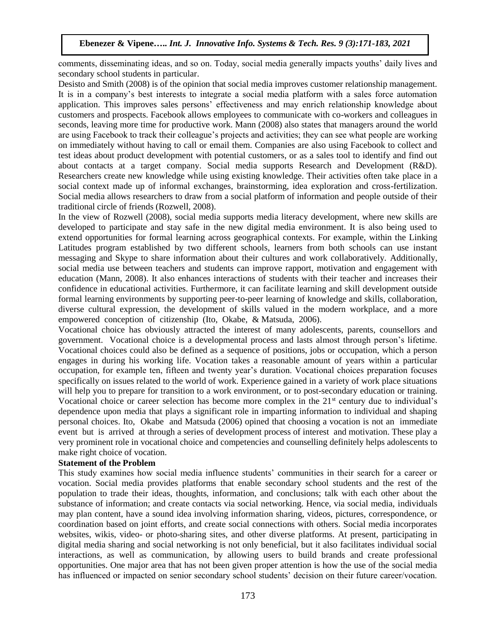comments, disseminating ideas, and so on. Today, social media generally impacts youths' daily lives and secondary school students in particular.

Desisto and Smith (2008) is of the opinion that social media improves customer relationship management. It is in a company's best interests to integrate a social media platform with a sales force automation application. This improves sales persons' effectiveness and may enrich relationship knowledge about customers and prospects. Facebook allows employees to communicate with co-workers and colleagues in seconds, leaving more time for productive work. Mann (2008) also states that managers around the world are using Facebook to track their colleague's projects and activities; they can see what people are working on immediately without having to call or email them. Companies are also using Facebook to collect and test ideas about product development with potential customers, or as a sales tool to identify and find out about contacts at a target company. Social media supports Research and Development (R&D). Researchers create new knowledge while using existing knowledge. Their activities often take place in a social context made up of informal exchanges, brainstorming, idea exploration and cross-fertilization. Social media allows researchers to draw from a social platform of information and people outside of their traditional circle of friends (Rozwell, 2008).

In the view of Rozwell (2008), social media supports media literacy development, where new skills are developed to participate and stay safe in the new digital media environment. It is also being used to extend opportunities for formal learning across geographical contexts. For example, within the Linking Latitudes program established by two different schools, learners from both schools can use instant messaging and Skype to share information about their cultures and work collaboratively. Additionally, social media use between teachers and students can improve rapport, motivation and engagement with education (Mann, 2008). It also enhances interactions of students with their teacher and increases their confidence in educational activities. Furthermore, it can facilitate learning and skill development outside formal learning environments by supporting peer-to-peer learning of knowledge and skills, collaboration, diverse cultural expression, the development of skills valued in the modern workplace, and a more empowered conception of citizenship (Ito, Okabe, & Matsuda, 2006).

Vocational choice has obviously attracted the interest of many adolescents, parents, counsellors and government. Vocational choice is a developmental process and lasts almost through person's lifetime. Vocational choices could also be defined as a sequence of positions, jobs or occupation, which a person engages in during his working life. Vocation takes a reasonable amount of years within a particular occupation, for example ten, fifteen and twenty year's duration. Vocational choices preparation focuses specifically on issues related to the world of work. Experience gained in a variety of work place situations will help you to prepare for transition to a work environment, or to post-secondary education or training. Vocational choice or career selection has become more complex in the 21<sup>st</sup> century due to individual's dependence upon media that plays a significant role in imparting information to individual and shaping personal choices. Ito, Okabe and Matsuda (2006) opined that choosing a vocation is not an immediate event but is arrived at through a series of development process of interest and motivation. These play a very prominent role in vocational choice and competencies and counselling definitely helps adolescents to make right choice of vocation.

# **Statement of the Problem**

This study examines how social media influence students' communities in their search for a career or vocation. Social media provides platforms that enable secondary school students and the rest of the population to trade their ideas, thoughts, information, and conclusions; talk with each other about the substance of information; and create contacts via social networking. Hence, via social media, individuals may plan content, have a sound idea involving information sharing, videos, pictures, correspondence, or coordination based on joint efforts, and create social connections with others. Social media incorporates websites, wikis, video- or photo-sharing sites, and other diverse platforms. At present, participating in digital media sharing and social networking is not only beneficial, but it also facilitates individual social interactions, as well as communication, by allowing users to build brands and create professional opportunities. One major area that has not been given proper attention is how the use of the social media has influenced or impacted on senior secondary school students' decision on their future career/vocation.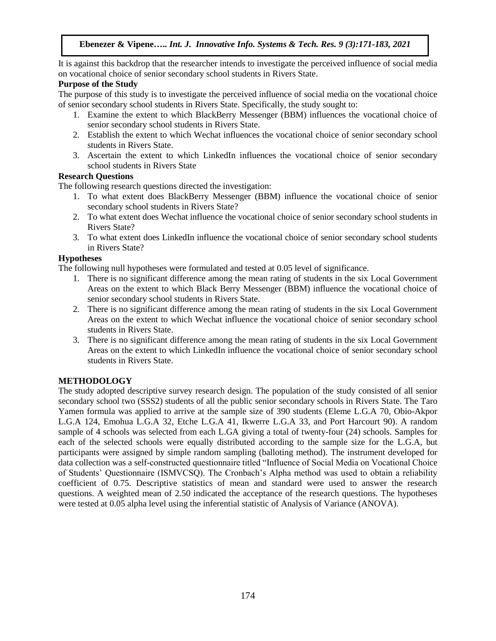It is against this backdrop that the researcher intends to investigate the perceived influence of social media on vocational choice of senior secondary school students in Rivers State.

## **Purpose of the Study**

The purpose of this study is to investigate the perceived influence of social media on the vocational choice of senior secondary school students in Rivers State. Specifically, the study sought to:

- 1. Examine the extent to which BlackBerry Messenger (BBM) influences the vocational choice of senior secondary school students in Rivers State.
- 2. Establish the extent to which Wechat influences the vocational choice of senior secondary school students in Rivers State.
- 3. Ascertain the extent to which LinkedIn influences the vocational choice of senior secondary school students in Rivers State

## **Research Questions**

The following research questions directed the investigation:

- 1. To what extent does BlackBerry Messenger (BBM) influence the vocational choice of senior secondary school students in Rivers State?
- 2. To what extent does Wechat influence the vocational choice of senior secondary school students in Rivers State?
- 3. To what extent does LinkedIn influence the vocational choice of senior secondary school students in Rivers State?

# **Hypotheses**

The following null hypotheses were formulated and tested at 0.05 level of significance.

- 1. There is no significant difference among the mean rating of students in the six Local Government Areas on the extent to which Black Berry Messenger (BBM) influence the vocational choice of senior secondary school students in Rivers State.
- 2. There is no significant difference among the mean rating of students in the six Local Government Areas on the extent to which Wechat influence the vocational choice of senior secondary school students in Rivers State.
- 3. There is no significant difference among the mean rating of students in the six Local Government Areas on the extent to which LinkedIn influence the vocational choice of senior secondary school students in Rivers State.

# **METHODOLOGY**

The study adopted descriptive survey research design. The population of the study consisted of all senior secondary school two (SSS2) students of all the public senior secondary schools in Rivers State. The Taro Yamen formula was applied to arrive at the sample size of 390 students (Eleme L.G.A 70, Obio-Akpor L.G.A 124, Emohua L.G.A 32, Etche L.G.A 41, Ikwerre L.G.A 33, and Port Harcourt 90). A random sample of 4 schools was selected from each L.GA giving a total of twenty-four (24) schools. Samples for each of the selected schools were equally distributed according to the sample size for the L.G.A, but participants were assigned by simple random sampling (balloting method). The instrument developed for data collection was a self-constructed questionnaire titled "Influence of Social Media on Vocational Choice of Students' Questionnaire (ISMVCSQ). The Cronbach's Alpha method was used to obtain a reliability coefficient of 0.75. Descriptive statistics of mean and standard were used to answer the research questions. A weighted mean of 2.50 indicated the acceptance of the research questions. The hypotheses were tested at 0.05 alpha level using the inferential statistic of Analysis of Variance (ANOVA).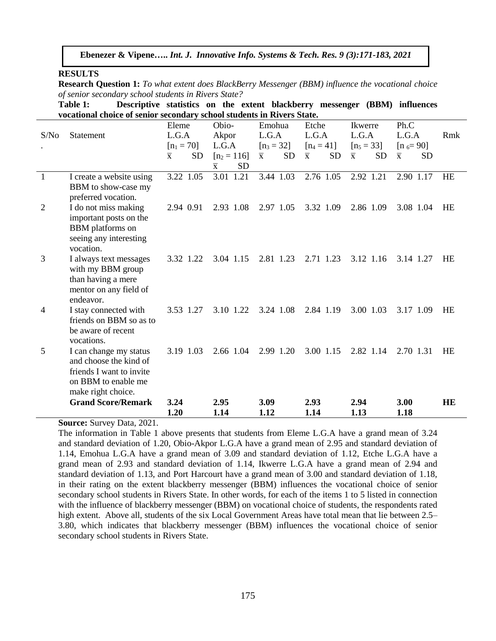#### **RESULTS**

**Research Question 1:** *To what extent does BlackBerry Messenger (BBM) influence the vocational choice of senior secondary school students in Rivers State?*

**Table 1: Descriptive statistics on the extent blackberry messenger (BBM) influences vocational choice of senior secondary school students in Rivers State.**

|                |                           | Eleme                                | Obio-                       | Emohua                               | Etche                                | Ikwerre                              | Ph.C                                 |           |
|----------------|---------------------------|--------------------------------------|-----------------------------|--------------------------------------|--------------------------------------|--------------------------------------|--------------------------------------|-----------|
| S/No           | <b>Statement</b>          | L.G.A                                | Akpor                       | L.G.A                                | L.G.A                                | L.G.A                                | L.G.A                                | Rmk       |
|                |                           | $[n_1 = 70]$                         | L.G.A                       | $[n_3 = 32]$                         | $[n_4 = 41]$                         | $[n_5 = 33]$                         | $[n_{6} = 90]$                       |           |
|                |                           | <b>SD</b><br>$\overline{\mathbf{x}}$ | $[n_2 = 116]$               | <b>SD</b><br>$\overline{\mathbf{x}}$ | <b>SD</b><br>$\overline{\mathbf{x}}$ | $\overline{\mathbf{x}}$<br><b>SD</b> | $\overline{\mathbf{x}}$<br><b>SD</b> |           |
|                |                           |                                      | <b>SD</b><br>$\overline{x}$ |                                      |                                      |                                      |                                      |           |
| $\overline{1}$ | I create a website using  | 3.22 1.05                            | 3.01 1.21                   | 3.44 1.03                            | 2.76 1.05                            | 2.92 1.21                            | 2.90 1.17                            | <b>HE</b> |
|                | BBM to show-case my       |                                      |                             |                                      |                                      |                                      |                                      |           |
|                | preferred vocation.       |                                      |                             |                                      |                                      |                                      |                                      |           |
| $\overline{2}$ | I do not miss making      | 2.94 0.91                            | 2.93 1.08                   | 2.97 1.05                            | 3.32 1.09                            | 2.86 1.09                            | 3.08 1.04                            | HE        |
|                | important posts on the    |                                      |                             |                                      |                                      |                                      |                                      |           |
|                | <b>BBM</b> platforms on   |                                      |                             |                                      |                                      |                                      |                                      |           |
|                | seeing any interesting    |                                      |                             |                                      |                                      |                                      |                                      |           |
|                | vocation.                 |                                      |                             |                                      |                                      |                                      |                                      |           |
| 3              | I always text messages    | 3.32 1.22                            | 3.04 1.15                   | 2.81 1.23                            | 2.71 1.23                            | 3.12 1.16                            | 3.14 1.27                            | <b>HE</b> |
|                | with my BBM group         |                                      |                             |                                      |                                      |                                      |                                      |           |
|                | than having a mere        |                                      |                             |                                      |                                      |                                      |                                      |           |
|                | mentor on any field of    |                                      |                             |                                      |                                      |                                      |                                      |           |
|                | endeavor.                 |                                      |                             |                                      |                                      |                                      |                                      |           |
| 4              | I stay connected with     | 3.53 1.27                            | 3.10 1.22                   | 3.24 1.08                            | 2.84 1.19                            | 3.00 1.03                            | 3.17 1.09                            | <b>HE</b> |
|                | friends on BBM so as to   |                                      |                             |                                      |                                      |                                      |                                      |           |
|                | be aware of recent        |                                      |                             |                                      |                                      |                                      |                                      |           |
|                | vocations.                |                                      |                             |                                      |                                      |                                      |                                      |           |
| 5              | I can change my status    | 3.19 1.03                            | 2.66 1.04                   | 2.99 1.20                            | 3.00 1.15                            | 2.82 1.14                            | 2.70 1.31                            | <b>HE</b> |
|                | and choose the kind of    |                                      |                             |                                      |                                      |                                      |                                      |           |
|                | friends I want to invite  |                                      |                             |                                      |                                      |                                      |                                      |           |
|                | on BBM to enable me       |                                      |                             |                                      |                                      |                                      |                                      |           |
|                | make right choice.        |                                      |                             |                                      |                                      |                                      |                                      |           |
|                | <b>Grand Score/Remark</b> | 3.24                                 | 2.95                        | 3.09                                 | 2.93                                 | 2.94                                 | 3.00                                 | <b>HE</b> |
|                |                           | 1.20                                 | 1.14                        | 1.12                                 | 1.14                                 | 1.13                                 | 1.18                                 |           |

**Source:** Survey Data, 2021.

The information in Table 1 above presents that students from Eleme L.G.A have a grand mean of 3.24 and standard deviation of 1.20, Obio-Akpor L.G.A have a grand mean of 2.95 and standard deviation of 1.14, Emohua L.G.A have a grand mean of 3.09 and standard deviation of 1.12, Etche L.G.A have a grand mean of 2.93 and standard deviation of 1.14, Ikwerre L.G.A have a grand mean of 2.94 and standard deviation of 1.13, and Port Harcourt have a grand mean of 3.00 and standard deviation of 1.18, in their rating on the extent blackberry messenger (BBM) influences the vocational choice of senior secondary school students in Rivers State. In other words, for each of the items 1 to 5 listed in connection with the influence of blackberry messenger (BBM) on vocational choice of students, the respondents rated high extent. Above all, students of the six Local Government Areas have total mean that lie between 2.5– 3.80, which indicates that blackberry messenger (BBM) influences the vocational choice of senior secondary school students in Rivers State.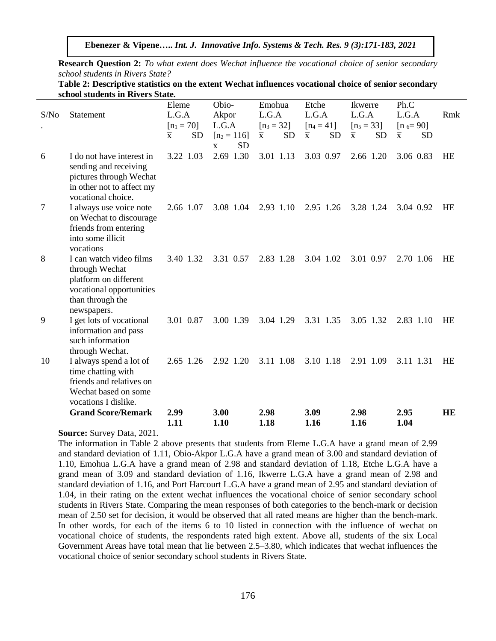**Ebenezer & Vipene…..** *Int. J. Innovative Info. Systems & Tech. Res. 9 (3):171-183, 2021*

**Research Question 2:** *To what extent does Wechat influence the vocational choice of senior secondary school students in Rivers State?*

| Table 2: Descriptive statistics on the extent Wechat influences vocational choice of senior secondary |  |  |
|-------------------------------------------------------------------------------------------------------|--|--|
| school students in Rivers State.                                                                      |  |  |

|      |                                                                                                                                  | Eleme                                | Obio-                                | Emohua                               | Etche                                | Ikwerre                              | Ph.C                                 |           |
|------|----------------------------------------------------------------------------------------------------------------------------------|--------------------------------------|--------------------------------------|--------------------------------------|--------------------------------------|--------------------------------------|--------------------------------------|-----------|
| S/No | Statement                                                                                                                        | L.G.A                                | Akpor                                | L.G.A                                | L.G.A                                | L.G.A                                | L.G.A                                | Rmk       |
|      |                                                                                                                                  | $[n_1 = 70]$                         | L.G.A                                | $[n_3 = 32]$                         | $[n_4 = 41]$                         | $[n_5 = 33]$                         | $[n_{6} = 90]$                       |           |
|      |                                                                                                                                  | <b>SD</b><br>$\overline{\mathbf{x}}$ | $[n_2 = 116]$                        | <b>SD</b><br>$\overline{\mathbf{x}}$ | <b>SD</b><br>$\overline{\mathbf{x}}$ | <b>SD</b><br>$\overline{\mathbf{x}}$ | <b>SD</b><br>$\overline{\mathbf{x}}$ |           |
|      |                                                                                                                                  |                                      | <b>SD</b><br>$\overline{\mathbf{x}}$ |                                      |                                      |                                      |                                      |           |
| 6    | I do not have interest in<br>sending and receiving<br>pictures through Wechat<br>in other not to affect my<br>vocational choice. | 3.22 1.03                            | 2.69 1.30                            | 3.01 1.13                            | 3.03 0.97                            | 2.66 1.20                            | 3.06 0.83                            | HE        |
| 7    | I always use voice note<br>on Wechat to discourage<br>friends from entering<br>into some illicit                                 | 2.66 1.07                            | 3.08 1.04                            | 2.93 1.10                            | 2.95 1.26                            | 3.28 1.24                            | 3.04 0.92                            | HE        |
| 8    | vocations<br>I can watch video films<br>through Wechat<br>platform on different<br>vocational opportunities<br>than through the  | 3.40 1.32                            | 3.31 0.57                            | 2.83 1.28                            | 3.04 1.02                            | 3.01 0.97                            | 2.70 1.06                            | <b>HE</b> |
| 9    | newspapers.<br>I get lots of vocational<br>information and pass<br>such information<br>through Wechat.                           | 3.01 0.87                            | 3.00 1.39                            | 3.04 1.29                            | 3.31 1.35                            | 3.05 1.32                            | 2.83 1.10                            | <b>HE</b> |
| 10   | I always spend a lot of<br>time chatting with<br>friends and relatives on<br>Wechat based on some<br>vocations I dislike.        | 2.65 1.26                            | 2.92 1.20                            | 3.11 1.08                            | 3.10 1.18                            | 2.91 1.09                            | 3.11 1.31                            | HE        |
|      | <b>Grand Score/Remark</b>                                                                                                        | 2.99<br>1.11                         | 3.00<br>1.10                         | 2.98<br>1.18                         | 3.09<br>1.16                         | 2.98<br>1.16                         | 2.95<br>1.04                         | <b>HE</b> |

**Source:** Survey Data, 2021.

The information in Table 2 above presents that students from Eleme L.G.A have a grand mean of 2.99 and standard deviation of 1.11, Obio-Akpor L.G.A have a grand mean of 3.00 and standard deviation of 1.10, Emohua L.G.A have a grand mean of 2.98 and standard deviation of 1.18, Etche L.G.A have a grand mean of 3.09 and standard deviation of 1.16, Ikwerre L.G.A have a grand mean of 2.98 and standard deviation of 1.16, and Port Harcourt L.G.A have a grand mean of 2.95 and standard deviation of 1.04, in their rating on the extent wechat influences the vocational choice of senior secondary school students in Rivers State. Comparing the mean responses of both categories to the bench-mark or decision mean of 2.50 set for decision, it would be observed that all rated means are higher than the bench-mark. In other words, for each of the items 6 to 10 listed in connection with the influence of wechat on vocational choice of students, the respondents rated high extent. Above all, students of the six Local Government Areas have total mean that lie between 2.5–3.80, which indicates that wechat influences the vocational choice of senior secondary school students in Rivers State.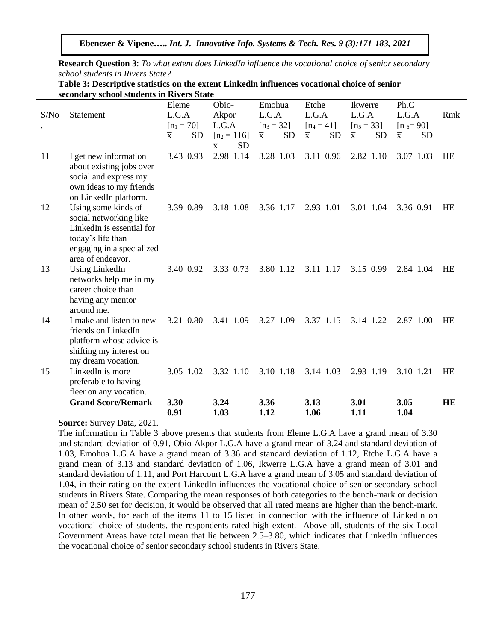**Research Question 3**: *To what extent does LinkedIn influence the vocational choice of senior secondary school students in Rivers State?*

| Table 3: Descriptive statistics on the extent Linkedln influences vocational choice of senior |
|-----------------------------------------------------------------------------------------------|
| secondary school students in Rivers State                                                     |

|      |                                                                             | Eleme                                | Obio-                                | Emohua                               | Etche                                | Ikwerre                              | Ph.C                                 |           |
|------|-----------------------------------------------------------------------------|--------------------------------------|--------------------------------------|--------------------------------------|--------------------------------------|--------------------------------------|--------------------------------------|-----------|
| S/No | Statement                                                                   | L.G.A                                | Akpor                                | L.G.A                                | L.G.A                                | L.G.A                                | L.G.A                                | Rmk       |
|      |                                                                             | $[n_1 = 70]$                         | L.G.A                                | $[n_3 = 32]$                         | $[n_4 = 41]$                         | $[n_5 = 33]$                         | $[n_{6} = 90]$                       |           |
|      |                                                                             | <b>SD</b><br>$\overline{\mathbf{x}}$ | $[n_2 = 116]$                        | <b>SD</b><br>$\overline{\mathbf{x}}$ | $\overline{\mathbf{X}}$<br><b>SD</b> | <b>SD</b><br>$\overline{\mathbf{x}}$ | <b>SD</b><br>$\overline{\mathbf{x}}$ |           |
|      |                                                                             |                                      | <b>SD</b><br>$\overline{\mathbf{x}}$ |                                      |                                      |                                      |                                      |           |
| 11   | I get new information<br>about existing jobs over                           | 3.43 0.93                            | 2.98 1.14                            | 3.28 1.03                            | 3.11 0.96                            | 2.82 1.10                            | 3.07 1.03                            | HE        |
|      | social and express my<br>own ideas to my friends<br>on LinkedIn platform.   |                                      |                                      |                                      |                                      |                                      |                                      |           |
| 12   | Using some kinds of<br>social networking like                               | 3.39 0.89                            | 3.18 1.08                            | 3.36 1.17                            | 2.93 1.01                            | 3.01 1.04                            | 3.36 0.91                            | HE        |
|      | LinkedIn is essential for<br>today's life than<br>engaging in a specialized |                                      |                                      |                                      |                                      |                                      |                                      |           |
|      | area of endeavor.                                                           |                                      |                                      |                                      |                                      |                                      |                                      |           |
| 13   | <b>Using LinkedIn</b><br>networks help me in my                             | 3.40 0.92                            | 3.33 0.73                            | 3.80 1.12                            | 3.11 1.17                            | 3.15 0.99                            | 2.84 1.04                            | HE        |
|      | career choice than                                                          |                                      |                                      |                                      |                                      |                                      |                                      |           |
|      | having any mentor<br>around me.                                             |                                      |                                      |                                      |                                      |                                      |                                      |           |
| 14   | I make and listen to new                                                    | 3.21 0.80                            | 3.41 1.09                            | 3.27 1.09                            | 3.37 1.15                            | 3.14 1.22                            | 2.87 1.00                            | <b>HE</b> |
|      | friends on LinkedIn<br>platform whose advice is                             |                                      |                                      |                                      |                                      |                                      |                                      |           |
|      | shifting my interest on                                                     |                                      |                                      |                                      |                                      |                                      |                                      |           |
| 15   | my dream vocation.<br>LinkedIn is more                                      | 3.05 1.02                            | 3.32 1.10                            | 3.10 1.18                            | 3.14 1.03                            | 2.93 1.19                            | 3.10 1.21                            | HE        |
|      | preferable to having                                                        |                                      |                                      |                                      |                                      |                                      |                                      |           |
|      | fleer on any vocation.                                                      |                                      |                                      |                                      |                                      |                                      |                                      |           |
|      | <b>Grand Score/Remark</b>                                                   | 3.30                                 | 3.24                                 | 3.36                                 | 3.13                                 | 3.01                                 | 3.05                                 | <b>HE</b> |
|      |                                                                             | 0.91                                 | 1.03                                 | 1.12                                 | 1.06                                 | 1.11                                 | 1.04                                 |           |

**Source:** Survey Data, 2021.

The information in Table 3 above presents that students from Eleme L.G.A have a grand mean of 3.30 and standard deviation of 0.91, Obio-Akpor L.G.A have a grand mean of 3.24 and standard deviation of 1.03, Emohua L.G.A have a grand mean of 3.36 and standard deviation of 1.12, Etche L.G.A have a grand mean of 3.13 and standard deviation of 1.06, Ikwerre L.G.A have a grand mean of 3.01 and standard deviation of 1.11, and Port Harcourt L.G.A have a grand mean of 3.05 and standard deviation of 1.04, in their rating on the extent Linkedln influences the vocational choice of senior secondary school students in Rivers State. Comparing the mean responses of both categories to the bench-mark or decision mean of 2.50 set for decision, it would be observed that all rated means are higher than the bench-mark. In other words, for each of the items 11 to 15 listed in connection with the influence of Linkedln on vocational choice of students, the respondents rated high extent. Above all, students of the six Local Government Areas have total mean that lie between 2.5–3.80, which indicates that Linkedln influences the vocational choice of senior secondary school students in Rivers State.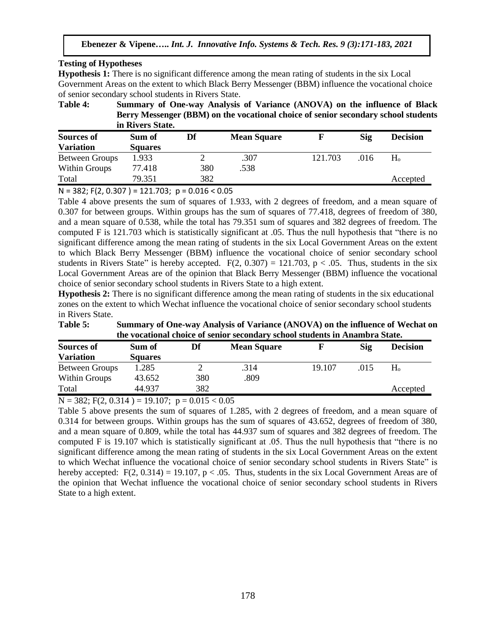## **Testing of Hypotheses**

**Hypothesis 1:** There is no significant difference among the mean rating of students in the six Local Government Areas on the extent to which Black Berry Messenger (BBM) influence the vocational choice of senior secondary school students in Rivers State.

**Table 4: Summary of One-way Analysis of Variance (ANOVA) on the influence of Black Berry Messenger (BBM) on the vocational choice of senior secondary school students in Rivers State.**

| <b>Sources of</b> | Sum of         | Df  | <b>Mean Square</b> |         | Sig  | <b>Decision</b> |
|-------------------|----------------|-----|--------------------|---------|------|-----------------|
| <b>Variation</b>  | <b>Squares</b> |     |                    |         |      |                 |
| Between Groups    | 1.933          |     | .307               | 121.703 | .016 | H <sub>o</sub>  |
| Within Groups     | 77.418         | 380 | .538               |         |      |                 |
| Total             | 79.351         | 382 |                    |         |      | Accepted        |

 $N = 382$ ; F(2, 0.307) = 121.703; p = 0.016 < 0.05

Table 4 above presents the sum of squares of 1.933, with 2 degrees of freedom, and a mean square of 0.307 for between groups. Within groups has the sum of squares of 77.418, degrees of freedom of 380, and a mean square of 0.538, while the total has 79.351 sum of squares and 382 degrees of freedom. The computed F is 121.703 which is statistically significant at .05. Thus the null hypothesis that "there is no significant difference among the mean rating of students in the six Local Government Areas on the extent to which Black Berry Messenger (BBM) influence the vocational choice of senior secondary school students in Rivers State" is hereby accepted.  $F(2, 0.307) = 121.703$ ,  $p < .05$ . Thus, students in the six Local Government Areas are of the opinion that Black Berry Messenger (BBM) influence the vocational choice of senior secondary school students in Rivers State to a high extent.

**Hypothesis 2:** There is no significant difference among the mean rating of students in the six educational zones on the extent to which Wechat influence the vocational choice of senior secondary school students in Rivers State.

| Table 5: | Summary of One-way Analysis of Variance (ANOVA) on the influence of Wechat on |
|----------|-------------------------------------------------------------------------------|
|          | the vocational choice of senior secondary school students in Anambra State.   |

| <b>Sources of</b>     | Sum of         | Df  | <b>Mean Square</b> |        | Sig  | <b>Decision</b> |
|-----------------------|----------------|-----|--------------------|--------|------|-----------------|
| <b>Variation</b>      | <b>Squares</b> |     |                    |        |      |                 |
| <b>Between Groups</b> | 1.285          |     | .314               | 19.107 | .015 | $H_{o}$         |
| Within Groups         | 43.652         | 380 | .809               |        |      |                 |
| Total                 | 44.937         | 382 |                    |        |      | Accepted        |

 $N = 382$ ; F(2, 0.314) = 19.107; p = 0.015 < 0.05

Table 5 above presents the sum of squares of 1.285, with 2 degrees of freedom, and a mean square of 0.314 for between groups. Within groups has the sum of squares of 43.652, degrees of freedom of 380, and a mean square of 0.809, while the total has 44.937 sum of squares and 382 degrees of freedom. The computed F is 19.107 which is statistically significant at .05. Thus the null hypothesis that "there is no significant difference among the mean rating of students in the six Local Government Areas on the extent to which Wechat influence the vocational choice of senior secondary school students in Rivers State" is hereby accepted:  $F(2, 0.314) = 19.107$ ,  $p < .05$ . Thus, students in the six Local Government Areas are of the opinion that Wechat influence the vocational choice of senior secondary school students in Rivers State to a high extent.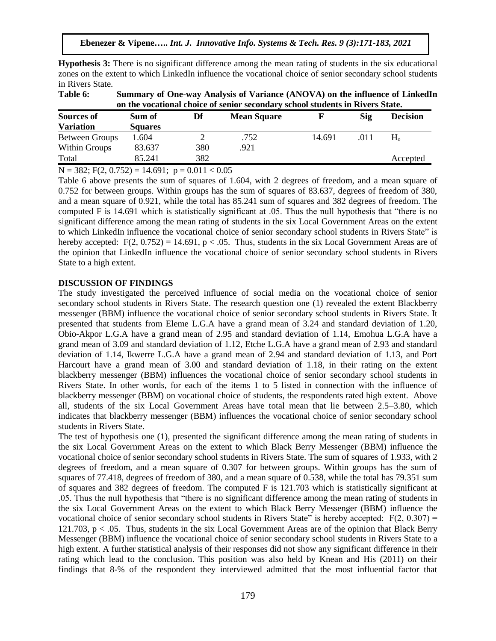**Hypothesis 3:** There is no significant difference among the mean rating of students in the six educational zones on the extent to which LinkedIn influence the vocational choice of senior secondary school students in Rivers State.

| Table 6:              | Summary of One-way Analysis of Variance (ANOVA) on the influence of LinkedIn<br>on the vocational choice of senior secondary school students in Rivers State. |     |                    |        |      |                 |
|-----------------------|---------------------------------------------------------------------------------------------------------------------------------------------------------------|-----|--------------------|--------|------|-----------------|
| <b>Sources of</b>     | Sum of                                                                                                                                                        | Df  | <b>Mean Square</b> |        | Sig  | <b>Decision</b> |
| <b>Variation</b>      | <b>Squares</b>                                                                                                                                                |     |                    |        |      |                 |
| <b>Between Groups</b> | 1.604                                                                                                                                                         |     | .752               | 14.691 | .011 | $H_{\alpha}$    |
| Within Groups         | 83.637                                                                                                                                                        | 380 | .921               |        |      |                 |
| Total                 | 85.241                                                                                                                                                        | 382 |                    |        |      | Accepted        |

 $N = 382$ ; F(2, 0.752) = 14.691;  $p = 0.011 < 0.05$ 

Table 6 above presents the sum of squares of 1.604, with 2 degrees of freedom, and a mean square of 0.752 for between groups. Within groups has the sum of squares of 83.637, degrees of freedom of 380, and a mean square of 0.921, while the total has 85.241 sum of squares and 382 degrees of freedom. The computed F is 14.691 which is statistically significant at .05. Thus the null hypothesis that "there is no significant difference among the mean rating of students in the six Local Government Areas on the extent to which LinkedIn influence the vocational choice of senior secondary school students in Rivers State" is hereby accepted:  $F(2, 0.752) = 14.691$ ,  $p < .05$ . Thus, students in the six Local Government Areas are of the opinion that LinkedIn influence the vocational choice of senior secondary school students in Rivers State to a high extent.

## **DISCUSSION OF FINDINGS**

The study investigated the perceived influence of social media on the vocational choice of senior secondary school students in Rivers State. The research question one (1) revealed the extent Blackberry messenger (BBM) influence the vocational choice of senior secondary school students in Rivers State. It presented that students from Eleme L.G.A have a grand mean of 3.24 and standard deviation of 1.20, Obio-Akpor L.G.A have a grand mean of 2.95 and standard deviation of 1.14, Emohua L.G.A have a grand mean of 3.09 and standard deviation of 1.12, Etche L.G.A have a grand mean of 2.93 and standard deviation of 1.14, Ikwerre L.G.A have a grand mean of 2.94 and standard deviation of 1.13, and Port Harcourt have a grand mean of 3.00 and standard deviation of 1.18, in their rating on the extent blackberry messenger (BBM) influences the vocational choice of senior secondary school students in Rivers State. In other words, for each of the items 1 to 5 listed in connection with the influence of blackberry messenger (BBM) on vocational choice of students, the respondents rated high extent. Above all, students of the six Local Government Areas have total mean that lie between 2.5–3.80, which indicates that blackberry messenger (BBM) influences the vocational choice of senior secondary school students in Rivers State.

The test of hypothesis one (1), presented the significant difference among the mean rating of students in the six Local Government Areas on the extent to which Black Berry Messenger (BBM) influence the vocational choice of senior secondary school students in Rivers State. The sum of squares of 1.933, with 2 degrees of freedom, and a mean square of 0.307 for between groups. Within groups has the sum of squares of 77.418, degrees of freedom of 380, and a mean square of 0.538, while the total has 79.351 sum of squares and 382 degrees of freedom. The computed F is 121.703 which is statistically significant at .05. Thus the null hypothesis that "there is no significant difference among the mean rating of students in the six Local Government Areas on the extent to which Black Berry Messenger (BBM) influence the vocational choice of senior secondary school students in Rivers State" is hereby accepted:  $F(2, 0.307) =$ 121.703, p < .05. Thus, students in the six Local Government Areas are of the opinion that Black Berry Messenger (BBM) influence the vocational choice of senior secondary school students in Rivers State to a high extent. A further statistical analysis of their responses did not show any significant difference in their rating which lead to the conclusion. This position was also held by Knean and His (2011) on their findings that 8-% of the respondent they interviewed admitted that the most influential factor that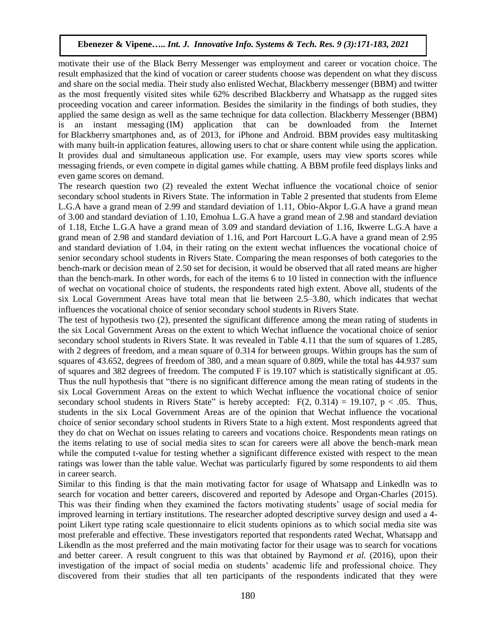motivate their use of the Black Berry Messenger was employment and career or vocation choice. The result emphasized that the kind of vocation or career students choose was dependent on what they discuss and share on the social media. Their study also enlisted Wechat, Blackberry messenger (BBM) and twitter as the most frequently visited sites while 62% described Blackberry and Whatsapp as the rugged sites proceeding vocation and career information. Besides the similarity in the findings of both studies, they applied the same design as well as the same technique for data collection. Blackberry Messenger (BBM) is an instant messaging (IM) application that can be downloaded from the Internet for Blackberry smartphones and, as of 2013, for iPhone and Android. BBM provides easy multitasking with many built-in application features, allowing users to chat or share content while using the application. It provides dual and simultaneous application use. For example, users may view sports scores while messaging friends, or even compete in digital games while chatting. A BBM profile feed displays links and even game scores on demand.

The research question two (2) revealed the extent Wechat influence the vocational choice of senior secondary school students in Rivers State. The information in Table 2 presented that students from Eleme L.G.A have a grand mean of 2.99 and standard deviation of 1.11, Obio-Akpor L.G.A have a grand mean of 3.00 and standard deviation of 1.10, Emohua L.G.A have a grand mean of 2.98 and standard deviation of 1.18, Etche L.G.A have a grand mean of 3.09 and standard deviation of 1.16, Ikwerre L.G.A have a grand mean of 2.98 and standard deviation of 1.16, and Port Harcourt L.G.A have a grand mean of 2.95 and standard deviation of 1.04, in their rating on the extent wechat influences the vocational choice of senior secondary school students in Rivers State. Comparing the mean responses of both categories to the bench-mark or decision mean of 2.50 set for decision, it would be observed that all rated means are higher than the bench-mark. In other words, for each of the items 6 to 10 listed in connection with the influence of wechat on vocational choice of students, the respondents rated high extent. Above all, students of the six Local Government Areas have total mean that lie between 2.5–3.80, which indicates that wechat influences the vocational choice of senior secondary school students in Rivers State.

The test of hypothesis two (2), presented the significant difference among the mean rating of students in the six Local Government Areas on the extent to which Wechat influence the vocational choice of senior secondary school students in Rivers State. It was revealed in Table 4.11 that the sum of squares of 1.285, with 2 degrees of freedom, and a mean square of 0.314 for between groups. Within groups has the sum of squares of 43.652, degrees of freedom of 380, and a mean square of 0.809, while the total has 44.937 sum of squares and 382 degrees of freedom. The computed F is 19.107 which is statistically significant at .05. Thus the null hypothesis that "there is no significant difference among the mean rating of students in the six Local Government Areas on the extent to which Wechat influence the vocational choice of senior secondary school students in Rivers State" is hereby accepted:  $F(2, 0.314) = 19.107$ ,  $p < .05$ . Thus, students in the six Local Government Areas are of the opinion that Wechat influence the vocational choice of senior secondary school students in Rivers State to a high extent. Most respondents agreed that they do chat on Wechat on issues relating to careers and vocations choice. Respondents mean ratings on the items relating to use of social media sites to scan for careers were all above the bench-mark mean while the computed t-value for testing whether a significant difference existed with respect to the mean ratings was lower than the table value. Wechat was particularly figured by some respondents to aid them in career search.

Similar to this finding is that the main motivating factor for usage of Whatsapp and Linkedln was to search for vocation and better careers, discovered and reported by Adesope and Organ-Charles (2015). This was their finding when they examined the factors motivating students' usage of social media for improved learning in tertiary institutions. The researcher adopted descriptive survey design and used a 4 point Likert type rating scale questionnaire to elicit students opinions as to which social media site was most preferable and effective. These investigators reported that respondents rated Wechat, Whatsapp and Likendln as the most preferred and the main motivating factor for their usage was to search for vocations and better career. A result congruent to this was that obtained by Raymond *et al.* (2016), upon their investigation of the impact of social media on students' academic life and professional choice. They discovered from their studies that all ten participants of the respondents indicated that they were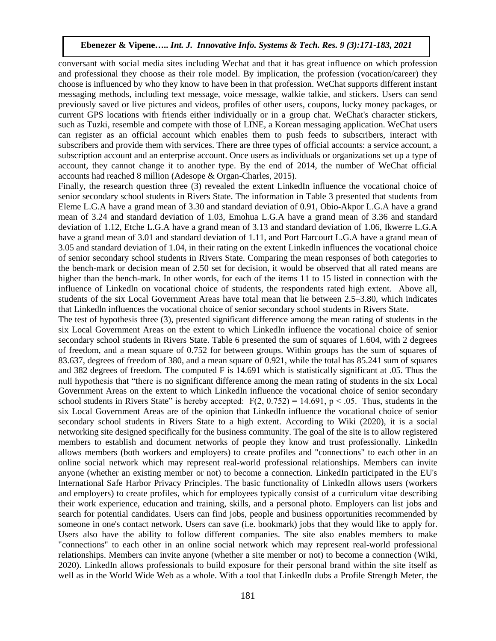conversant with social media sites including Wechat and that it has great influence on which profession and professional they choose as their role model. By implication, the profession (vocation/career) they choose is influenced by who they know to have been in that profession. WeChat supports different instant messaging methods, including text message, voice message, walkie talkie, and stickers. Users can send previously saved or live pictures and videos, profiles of other users, coupons, lucky money packages, or current GPS locations with friends either individually or in a group chat. WeChat's character stickers, such as [Tuzki,](https://en.wikipedia.org/wiki/Tuzki) resemble and compete with those of [LINE,](https://en.wikipedia.org/wiki/Line_(software)) a Korean messaging application. WeChat users can register as an official account which enables them to push feeds to subscribers, interact with subscribers and provide them with services. There are three types of official accounts: a service account, a subscription account and an enterprise account. Once users as individuals or organizations set up a type of account, they cannot change it to another type. By the end of 2014, the number of WeChat official accounts had reached 8 million (Adesope & Organ-Charles, 2015).

Finally, the research question three (3) revealed the extent LinkedIn influence the vocational choice of senior secondary school students in Rivers State. The information in Table 3 presented that students from Eleme L.G.A have a grand mean of 3.30 and standard deviation of 0.91, Obio-Akpor L.G.A have a grand mean of 3.24 and standard deviation of 1.03, Emohua L.G.A have a grand mean of 3.36 and standard deviation of 1.12, Etche L.G.A have a grand mean of 3.13 and standard deviation of 1.06, Ikwerre L.G.A have a grand mean of 3.01 and standard deviation of 1.11, and Port Harcourt L.G.A have a grand mean of 3.05 and standard deviation of 1.04, in their rating on the extent Linkedln influences the vocational choice of senior secondary school students in Rivers State. Comparing the mean responses of both categories to the bench-mark or decision mean of 2.50 set for decision, it would be observed that all rated means are higher than the bench-mark. In other words, for each of the items 11 to 15 listed in connection with the influence of Linkedln on vocational choice of students, the respondents rated high extent. Above all, students of the six Local Government Areas have total mean that lie between 2.5–3.80, which indicates that Linkedln influences the vocational choice of senior secondary school students in Rivers State.

The test of hypothesis three (3), presented significant difference among the mean rating of students in the six Local Government Areas on the extent to which LinkedIn influence the vocational choice of senior secondary school students in Rivers State. Table 6 presented the sum of squares of 1.604, with 2 degrees of freedom, and a mean square of 0.752 for between groups. Within groups has the sum of squares of 83.637, degrees of freedom of 380, and a mean square of 0.921, while the total has 85.241 sum of squares and 382 degrees of freedom. The computed F is 14.691 which is statistically significant at .05. Thus the null hypothesis that "there is no significant difference among the mean rating of students in the six Local Government Areas on the extent to which LinkedIn influence the vocational choice of senior secondary school students in Rivers State" is hereby accepted:  $F(2, 0.752) = 14.691$ , p < .05. Thus, students in the six Local Government Areas are of the opinion that LinkedIn influence the vocational choice of senior secondary school students in Rivers State to a high extent. According to Wiki (2020), it is a social networking site designed specifically for the business community. The goal of the site is to allow registered members to establish and document networks of people they know and trust professionally. LinkedIn allows members (both workers and employers) to create [profiles](https://en.wikipedia.org/wiki/User_profile) and "connections" to each other in an [online](https://en.wikipedia.org/wiki/Online_and_offline) [social network](https://en.wikipedia.org/wiki/Social_network) which may represent real-world [professional relationships.](https://en.wikipedia.org/wiki/Business_relations) Members can invite anyone (whether an existing member or not) to become a connection. LinkedIn participated in the EU's [International Safe Harbor Privacy Principles.](https://en.wikipedia.org/wiki/International_Safe_Harbor_Privacy_Principles) The basic functionality of LinkedIn allows users (workers and employers) to create [profiles,](https://en.wikipedia.org/wiki/User_profile) which for employees typically consist of a [curriculum vitae](https://en.wikipedia.org/wiki/Curriculum_vitae) describing their work experience, education and training, skills, and a personal photo. Employers can list [jobs](https://en.wikipedia.org/wiki/Job) and search for potential candidates. Users can [find jobs,](https://en.wikipedia.org/wiki/Job_hunting) people and business opportunities recommended by someone in one's contact network. Users can save (i.e. bookmark) jobs that they would like to [apply](https://en.wikipedia.org/wiki/Application_for_employment) for. Users also have the ability to follow different companies. The site also enables members to make "connections" to each other in an [online](https://en.wikipedia.org/wiki/Online_and_offline) [social network](https://en.wikipedia.org/wiki/Social_network) which may represent real-world [professional](https://en.wikipedia.org/wiki/Business_relations)  [relationships.](https://en.wikipedia.org/wiki/Business_relations) Members can invite anyone (whether a site member or not) to become a connection (Wiki, 2020). LinkedIn allows professionals to build exposure for their personal brand within the site itself as well as in the World Wide Web as a whole. With a tool that LinkedIn dubs a Profile Strength Meter, the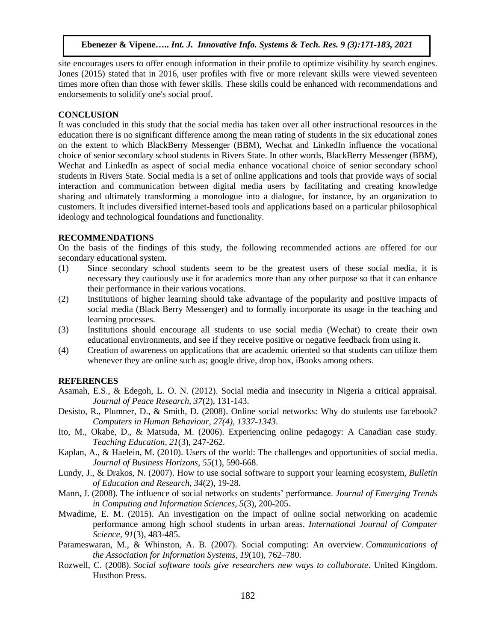site encourages users to offer enough information in their profile to optimize [visibility by search engines.](https://en.wikipedia.org/wiki/Search_engine_optimization) Jones (2015) stated that in 2016, user profiles with five or more relevant skills were viewed seventeen times more often than those with fewer skills. These skills could be enhanced with recommendations and endorsements to solidify one's [social proof.](https://en.wikipedia.org/wiki/Social_proof)

## **CONCLUSION**

It was concluded in this study that the social media has taken over all other instructional resources in the education there is no significant difference among the mean rating of students in the six educational zones on the extent to which BlackBerry Messenger (BBM), Wechat and LinkedIn influence the vocational choice of senior secondary school students in Rivers State. In other words, BlackBerry Messenger (BBM), Wechat and LinkedIn as aspect of social media enhance vocational choice of senior secondary school students in Rivers State. Social media is a set of online applications and tools that provide ways of social interaction and communication between digital media users by facilitating and creating knowledge sharing and ultimately transforming a monologue into a dialogue, for instance, by an organization to customers. It includes diversified internet-based tools and applications based on a particular philosophical ideology and technological foundations and functionality.

## **RECOMMENDATIONS**

On the basis of the findings of this study, the following recommended actions are offered for our secondary educational system.

- (1) Since secondary school students seem to be the greatest users of these social media, it is necessary they cautiously use it for academics more than any other purpose so that it can enhance their performance in their various vocations.
- (2) Institutions of higher learning should take advantage of the popularity and positive impacts of social media (Black Berry Messenger) and to formally incorporate its usage in the teaching and learning processes.
- (3) Institutions should encourage all students to use social media (Wechat) to create their own educational environments, and see if they receive positive or negative feedback from using it.
- (4) Creation of awareness on applications that are academic oriented so that students can utilize them whenever they are online such as; google drive, drop box, iBooks among others.

## **REFERENCES**

- Asamah, E.S., & Edegoh, L. O. N. (2012). Social media and insecurity in Nigeria a critical appraisal. *Journal of Peace Research, 37*(2), 131-143.
- Desisto, R., Plumner, D., & Smith, D. (2008). Online social networks: Why do students use facebook? *Computers in Human Behaviour, 27(4), 1337-1343*.
- Ito, M., Okabe, D., & Matsuda, M. (2006). Experiencing online pedagogy: A Canadian case study. *Teaching Education, 21*(3), 247-262.
- Kaplan, A., & Haelein, M. (2010). Users of the world: The challenges and opportunities of social media. *Journal of Business Horizons, 55*(1), 590-668.
- Lundy, J., & Drakos, N. (2007). How to use social software to support your learning ecosystem, *Bulletin of Education and Research, 34*(2), 19-28.
- Mann, J. (2008). The influence of social networks on students' performance. *Journal of Emerging Trends in Computing and Information Sciences, 5*(3), 200-205.
- Mwadime, E. M. (2015). An investigation on the impact of online social networking on academic performance among high school students in urban areas. *International Journal of Computer Science, 91*(3), 483-485.
- Parameswaran, M., & Whinston, A. B. (2007). Social computing: An overview. *Communications of the Association for Information Systems, 19*(10), 762–780.
- Rozwell, C. (2008). *Social software tools give researchers new ways to collaborate*. United Kingdom. Husthon Press.